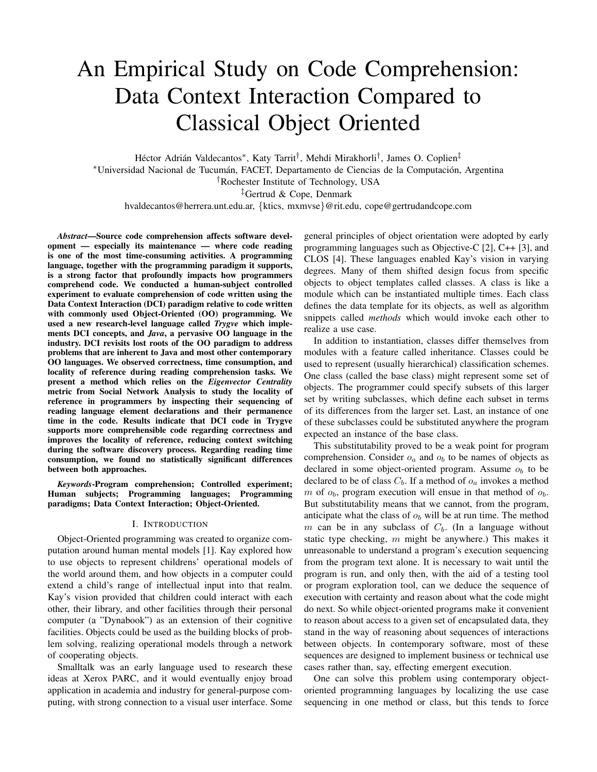# An Empirical Study on Code Comprehension: Data Context Interaction Compared to Classical Object Oriented

Héctor Adrián Valdecantos\*, Katy Tarrit<sup>†</sup>, Mehdi Mirakhorli<sup>†</sup>, James O. Coplien<sup>‡</sup> \*Universidad Nacional de Tucumán, FACET, Departamento de Ciencias de la Computación, Argentina †Rochester Institute of Technology, USA ‡Gertrud & Cope, Denmark

hvaldecantos@herrera.unt.edu.ar, {ktics, mxmvse}@rit.edu, cope@gertrudandcope.com

*Abstract*—Source code comprehension affects software development — especially its maintenance — where code reading is one of the most time-consuming activities. A programming language, together with the programming paradigm it supports, is a strong factor that profoundly impacts how programmers comprehend code. We conducted a human-subject controlled experiment to evaluate comprehension of code written using the Data Context Interaction (DCI) paradigm relative to code written with commonly used Object-Oriented (OO) programming. We used a new research-level language called *Trygve* which implements DCI concepts, and *Java*, a pervasive OO language in the industry. DCI revisits lost roots of the OO paradigm to address problems that are inherent to Java and most other contemporary OO languages. We observed correctness, time consumption, and locality of reference during reading comprehension tasks. We present a method which relies on the *Eigenvector Centrality* metric from Social Network Analysis to study the locality of reference in programmers by inspecting their sequencing of reading language element declarations and their permanence time in the code. Results indicate that DCI code in Trygve supports more comprehensible code regarding correctness and improves the locality of reference, reducing context switching during the software discovery process. Regarding reading time consumption, we found no statistically significant differences between both approaches.

*Keywords*-Program comprehension; Controlled experiment; Human subjects; Programming languages; Programming paradigms; Data Context Interaction; Object-Oriented.

## I. INTRODUCTION

Object-Oriented programming was created to organize computation around human mental models [1]. Kay explored how to use objects to represent childrens' operational models of the world around them, and how objects in a computer could extend a child's range of intellectual input into that realm. Kay's vision provided that children could interact with each other, their library, and other facilities through their personal computer (a "Dynabook") as an extension of their cognitive facilities. Objects could be used as the building blocks of problem solving, realizing operational models through a network of cooperating objects.

Smalltalk was an early language used to research these ideas at Xerox PARC, and it would eventually enjoy broad application in academia and industry for general-purpose computing, with strong connection to a visual user interface. Some general principles of object orientation were adopted by early programming languages such as Objective-C [2], C++ [3], and CLOS [4]. These languages enabled Kay's vision in varying degrees. Many of them shifted design focus from specific objects to object templates called classes. A class is like a module which can be instantiated multiple times. Each class defines the data template for its objects, as well as algorithm snippets called *methods* which would invoke each other to realize a use case.

In addition to instantiation, classes differ themselves from modules with a feature called inheritance. Classes could be used to represent (usually hierarchical) classification schemes. One class (called the base class) might represent some set of objects. The programmer could specify subsets of this larger set by writing subclasses, which define each subset in terms of its differences from the larger set. Last, an instance of one of these subclasses could be substituted anywhere the program expected an instance of the base class.

This substitutability proved to be a weak point for program comprehension. Consider  $o_a$  and  $o_b$  to be names of objects as declared in some object-oriented program. Assume  $o<sub>b</sub>$  to be declared to be of class  $C_b$ . If a method of  $o_a$  invokes a method m of  $o_b$ , program execution will ensue in that method of  $o_b$ . But substitutability means that we cannot, from the program, anticipate what the class of  $o<sub>b</sub>$  will be at run time. The method m can be in any subclass of  $C_b$ . (In a language without static type checking, m might be anywhere.) This makes it unreasonable to understand a program's execution sequencing from the program text alone. It is necessary to wait until the program is run, and only then, with the aid of a testing tool or program exploration tool, can we deduce the sequence of execution with certainty and reason about what the code might do next. So while object-oriented programs make it convenient to reason about access to a given set of encapsulated data, they stand in the way of reasoning about sequences of interactions between objects. In contemporary software, most of these sequences are designed to implement business or technical use cases rather than, say, effecting emergent execution.

One can solve this problem using contemporary objectoriented programming languages by localizing the use case sequencing in one method or class, but this tends to force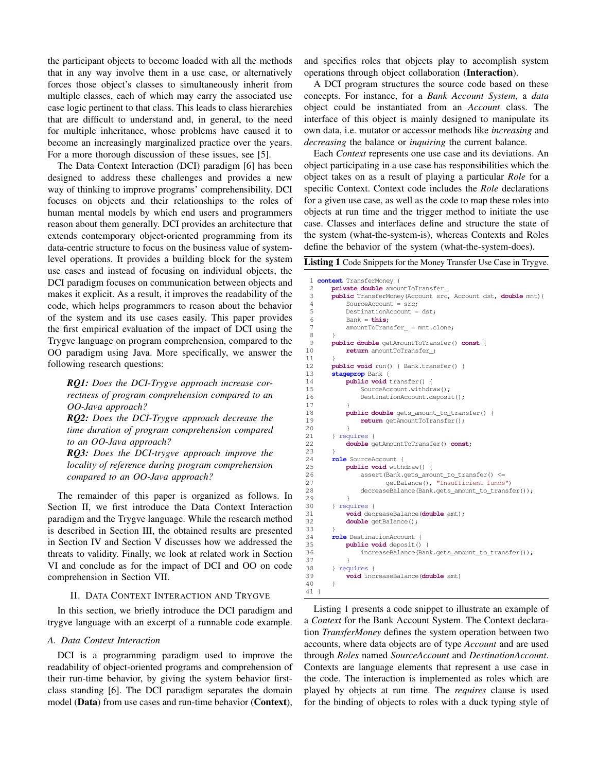the participant objects to become loaded with all the methods that in any way involve them in a use case, or alternatively forces those object's classes to simultaneously inherit from multiple classes, each of which may carry the associated use case logic pertinent to that class. This leads to class hierarchies that are difficult to understand and, in general, to the need for multiple inheritance, whose problems have caused it to become an increasingly marginalized practice over the years. For a more thorough discussion of these issues, see [5].

The Data Context Interaction (DCI) paradigm [6] has been designed to address these challenges and provides a new way of thinking to improve programs' comprehensibility. DCI focuses on objects and their relationships to the roles of human mental models by which end users and programmers reason about them generally. DCI provides an architecture that extends contemporary object-oriented programming from its data-centric structure to focus on the business value of systemlevel operations. It provides a building block for the system use cases and instead of focusing on individual objects, the DCI paradigm focuses on communication between objects and makes it explicit. As a result, it improves the readability of the code, which helps programmers to reason about the behavior of the system and its use cases easily. This paper provides the first empirical evaluation of the impact of DCI using the Trygve language on program comprehension, compared to the OO paradigm using Java. More specifically, we answer the following research questions:

*RQ1: Does the DCI-Trygve approach increase correctness of program comprehension compared to an OO-Java approach?*

*RQ2: Does the DCI-Trygve approach decrease the time duration of program comprehension compared to an OO-Java approach?*

*RQ3: Does the DCI-trygve approach improve the locality of reference during program comprehension compared to an OO-Java approach?*

The remainder of this paper is organized as follows. In Section II, we first introduce the Data Context Interaction paradigm and the Trygve language. While the research method is described in Section III, the obtained results are presented in Section IV and Section V discusses how we addressed the threats to validity. Finally, we look at related work in Section VI and conclude as for the impact of DCI and OO on code comprehension in Section VII.

## II. DATA CONTEXT INTERACTION AND TRYGVE

In this section, we briefly introduce the DCI paradigm and trygve language with an excerpt of a runnable code example.

#### *A. Data Context Interaction*

DCI is a programming paradigm used to improve the readability of object-oriented programs and comprehension of their run-time behavior, by giving the system behavior firstclass standing [6]. The DCI paradigm separates the domain model (Data) from use cases and run-time behavior (Context), and specifies roles that objects play to accomplish system operations through object collaboration (Interaction).

A DCI program structures the source code based on these concepts. For instance, for a *Bank Account System*, a *data* object could be instantiated from an *Account* class. The interface of this object is mainly designed to manipulate its own data, i.e. mutator or accessor methods like *increasing* and *decreasing* the balance or *inquiring* the current balance.

Each *Context* represents one use case and its deviations. An object participating in a use case has responsibilities which the object takes on as a result of playing a particular *Role* for a specific Context. Context code includes the *Role* declarations for a given use case, as well as the code to map these roles into objects at run time and the trigger method to initiate the use case. Classes and interfaces define and structure the state of the system (what-the-system-is), whereas Contexts and Roles define the behavior of the system (what-the-system-does).

## Listing 1 Code Snippets for the Money Transfer Use Case in Trygve.

|     | 1 <b>context</b> TransferMoney {                              |
|-----|---------------------------------------------------------------|
| 2   | private double amountToTransfer_                              |
| 3   | public TransferMoney (Account src, Account dst, double mnt) { |
| 4   | SourceAccount = $src:$                                        |
| 5   | $DestinationAccount = dst;$                                   |
| 6   | Bank = $this$                                                 |
| 7   | amountToTransfer_ = mnt.clone;                                |
| 8   |                                                               |
| 9   | public double qetAmountToTransfer() const {                   |
| 10  | return amountToTransfer ;                                     |
| 11  | ł                                                             |
| 12  | public void run() { Bank.transfer() }                         |
| 13  | stageprop Bank {                                              |
| 14  | public void transfer() {                                      |
| 15  | SourceAccount.withdraw();                                     |
| 16  | DestinationAccount.deposit();                                 |
| 17  | ₿                                                             |
| 18  | public double gets_amount_to_transfer() {                     |
| 19  | return qetAmountToTransfer();                                 |
| 20  | ł                                                             |
| 21  | } requires {                                                  |
| 22  | double getAmountToTransfer() const;                           |
| 23  |                                                               |
| 24  | role SourceAccount {                                          |
| 25  | public void withdraw() {                                      |
| 26  | assert(Bank.gets_amount_to_transfer() <=                      |
| 2.7 | qetBalance(), "Insufficient funds")                           |
| 28  | decreaseBalance(Bank.gets amount to transfer());              |
| 29  | ł                                                             |
| 30  | } requires {                                                  |
| 31  | void decreaseBalance (double amt);                            |
| 32  | double getBalance();                                          |
| 33  |                                                               |
| 34  | role DestinationAccount {                                     |
| 35  | public void deposit() {                                       |
| 36  | increaseBalance(Bank.gets_amount_to_transfer());              |
| 37  |                                                               |
| 38  | } requires {                                                  |
| 39  | void increaseBalance (double amt)                             |
| 40  | ł                                                             |
| 41  |                                                               |

Listing 1 presents a code snippet to illustrate an example of a *Context* for the Bank Account System. The Context declaration *TransferMoney* defines the system operation between two accounts, where data objects are of type *Account* and are used through *Roles* named *SourceAccount* and *DestinationAccount*. Contexts are language elements that represent a use case in the code. The interaction is implemented as roles which are played by objects at run time. The *requires* clause is used for the binding of objects to roles with a duck typing style of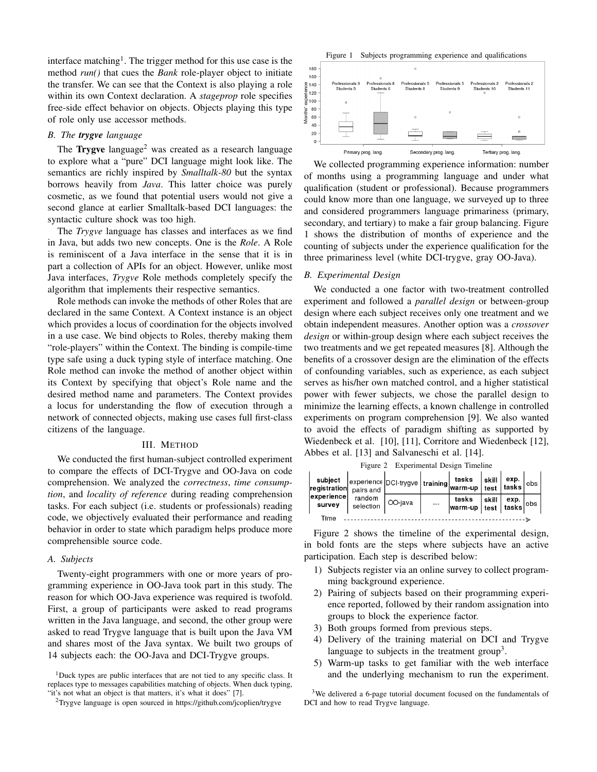interface matching<sup>1</sup>. The trigger method for this use case is the method *run()* that cues the *Bank* role-player object to initiate the transfer. We can see that the Context is also playing a role within its own Context declaration. A *stageprop* role specifies free-side effect behavior on objects. Objects playing this type of role only use accessor methods.

#### *B. The trygve language*

The Trygve language<sup>2</sup> was created as a research language to explore what a "pure" DCI language might look like. The semantics are richly inspired by *Smalltalk-80* but the syntax borrows heavily from *Java*. This latter choice was purely cosmetic, as we found that potential users would not give a second glance at earlier Smalltalk-based DCI languages: the syntactic culture shock was too high.

The *Trygve* language has classes and interfaces as we find in Java, but adds two new concepts. One is the *Role*. A Role is reminiscent of a Java interface in the sense that it is in part a collection of APIs for an object. However, unlike most Java interfaces, *Trygve* Role methods completely specify the algorithm that implements their respective semantics.

Role methods can invoke the methods of other Roles that are declared in the same Context. A Context instance is an object which provides a locus of coordination for the objects involved in a use case. We bind objects to Roles, thereby making them "role-players" within the Context. The binding is compile-time type safe using a duck typing style of interface matching. One Role method can invoke the method of another object within its Context by specifying that object's Role name and the desired method name and parameters. The Context provides a locus for understanding the flow of execution through a network of connected objects, making use cases full first-class citizens of the language.

#### III. METHOD

We conducted the first human-subject controlled experiment to compare the effects of DCI-Trygve and OO-Java on code comprehension. We analyzed the *correctness*, *time consumption*, and *locality of reference* during reading comprehension tasks. For each subject (i.e. students or professionals) reading code, we objectively evaluated their performance and reading behavior in order to state which paradigm helps produce more comprehensible source code.

#### *A. Subjects*

Twenty-eight programmers with one or more years of programming experience in OO-Java took part in this study. The reason for which OO-Java experience was required is twofold. First, a group of participants were asked to read programs written in the Java language, and second, the other group were asked to read Trygve language that is built upon the Java VM and shares most of the Java syntax. We built two groups of 14 subjects each: the OO-Java and DCI-Trygve groups.

<sup>1</sup>Duck types are public interfaces that are not tied to any specific class. It replaces type to messages capabilities matching of objects. When duck typing, "it's not what an object is that matters, it's what it does" [7].

Figure 1 Subjects programming experience and qualifications



We collected programming experience information: number of months using a programming language and under what qualification (student or professional). Because programmers could know more than one language, we surveyed up to three and considered programmers language primariness (primary, secondary, and tertiary) to make a fair group balancing. Figure 1 shows the distribution of months of experience and the counting of subjects under the experience qualification for the three primariness level (white DCI-trygve, gray OO-Java).

## *B. Experimental Design*

We conducted a one factor with two-treatment controlled experiment and followed a *parallel design* or between-group design where each subject receives only one treatment and we obtain independent measures. Another option was a *crossover design* or within-group design where each subject receives the two treatments and we get repeated measures [8]. Although the benefits of a crossover design are the elimination of the effects of confounding variables, such as experience, as each subject serves as his/her own matched control, and a higher statistical power with fewer subjects, we chose the parallel design to minimize the learning effects, a known challenge in controlled experiments on program comprehension [9]. We also wanted to avoid the effects of paradigm shifting as supported by Wiedenbeck et al. [10], [11], Corritore and Wiedenbeck [12], Abbes et al. [13] and Salvaneschi et al. [14].

|                          |                                                                                                                         | Figure 2 Experimental Design Timeline |        |                                                                                                                                                                                         |  |  |
|--------------------------|-------------------------------------------------------------------------------------------------------------------------|---------------------------------------|--------|-----------------------------------------------------------------------------------------------------------------------------------------------------------------------------------------|--|--|
| subject<br>registration∣ | experience DCI-trygve training tasks skill exp. bs<br>nairs and DCI-trygve training warm-up test tasks obs<br>pairs and |                                       |        |                                                                                                                                                                                         |  |  |
| experience <br>survey    | random<br>selection                                                                                                     | OO-java                               | $\sim$ | $\begin{array}{ c c c c c }\n \hline \text{tasks} & \text{skill} & \text{exp.} & \text{obs.} \\ \hline \text{warm-up} & \text{test} & \text{tasks} & \text{obs.} \\ \hline \end{array}$ |  |  |
| Time                     |                                                                                                                         |                                       |        |                                                                                                                                                                                         |  |  |

Figure 2 shows the timeline of the experimental design, in bold fonts are the steps where subjects have an active participation. Each step is described below:

- 1) Subjects register via an online survey to collect programming background experience.
- 2) Pairing of subjects based on their programming experience reported, followed by their random assignation into groups to block the experience factor.
- 3) Both groups formed from previous steps.
- 4) Delivery of the training material on DCI and Trygve language to subjects in the treatment group<sup>3</sup>.
- 5) Warm-up tasks to get familiar with the web interface and the underlying mechanism to run the experiment.

<sup>3</sup>We delivered a 6-page tutorial document focused on the fundamentals of DCI and how to read Trygve language.

<sup>2</sup>Trygve language is open sourced in https://github.com/jcoplien/trygve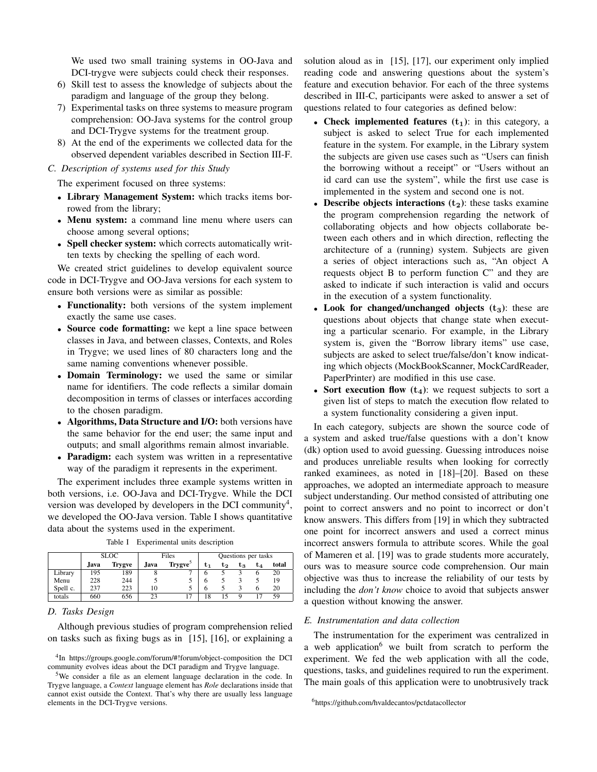We used two small training systems in OO-Java and DCI-trygve were subjects could check their responses.

- 6) Skill test to assess the knowledge of subjects about the paradigm and language of the group they belong.
- 7) Experimental tasks on three systems to measure program comprehension: OO-Java systems for the control group and DCI-Trygve systems for the treatment group.
- 8) At the end of the experiments we collected data for the observed dependent variables described in Section III-F.
- *C. Description of systems used for this Study*

The experiment focused on three systems:

- Library Management System: which tracks items borrowed from the library;
- Menu system: a command line menu where users can choose among several options;
- Spell checker system: which corrects automatically written texts by checking the spelling of each word.

We created strict guidelines to develop equivalent source code in DCI-Trygve and OO-Java versions for each system to ensure both versions were as similar as possible:

- Functionality: both versions of the system implement exactly the same use cases.
- Source code formatting: we kept a line space between classes in Java, and between classes, Contexts, and Roles in Trygve; we used lines of 80 characters long and the same naming conventions whenever possible.
- Domain Terminology: we used the same or similar name for identifiers. The code reflects a similar domain decomposition in terms of classes or interfaces according to the chosen paradigm.
- Algorithms, Data Structure and I/O: both versions have the same behavior for the end user; the same input and outputs; and small algorithms remain almost invariable.
- Paradigm: each system was written in a representative way of the paradigm it represents in the experiment.

The experiment includes three example systems written in both versions, i.e. OO-Java and DCI-Trygve. While the DCI version was developed by developers in the DCI community<sup>4</sup>, we developed the OO-Java version. Table I shows quantitative data about the systems used in the experiment.

|          | <b>SLOC</b> |               | Files |                     | Questions per tasks |    |    |    |       |
|----------|-------------|---------------|-------|---------------------|---------------------|----|----|----|-------|
|          | .lava       | <b>Trygve</b> | Java  | Trygve <sup>5</sup> | tı                  | t2 | tз | t4 | total |
| Library  | 195         | 189           | ŏ     |                     |                     |    |    |    | 20    |
| Menu     | 228         | 244           |       |                     |                     |    |    |    | 19    |
| Spell c. | 237         | 223           | 10    |                     |                     |    |    |    | 20    |
| totals   | 660         | 656           | 23    |                     |                     |    |    |    | 59    |

#### Table I Experimental units description

#### *D. Tasks Design*

Although previous studies of program comprehension relied on tasks such as fixing bugs as in [15], [16], or explaining a

4 In https://groups.google.com/forum/#!forum/object-composition the DCI community evolves ideas about the DCI paradigm and Trygve language.

solution aloud as in [15], [17], our experiment only implied reading code and answering questions about the system's feature and execution behavior. For each of the three systems described in III-C, participants were asked to answer a set of questions related to four categories as defined below:

- Check implemented features  $(t_1)$ : in this category, a subject is asked to select True for each implemented feature in the system. For example, in the Library system the subjects are given use cases such as "Users can finish the borrowing without a receipt" or "Users without an id card can use the system", while the first use case is implemented in the system and second one is not.
- **Describe objects interactions**  $(t_2)$ : these tasks examine the program comprehension regarding the network of collaborating objects and how objects collaborate between each others and in which direction, reflecting the architecture of a (running) system. Subjects are given a series of object interactions such as, "An object A requests object B to perform function C" and they are asked to indicate if such interaction is valid and occurs in the execution of a system functionality.
- **Look for changed/unchanged objects**  $(t_3)$ : these are questions about objects that change state when executing a particular scenario. For example, in the Library system is, given the "Borrow library items" use case, subjects are asked to select true/false/don't know indicating which objects (MockBookScanner, MockCardReader, PaperPrinter) are modified in this use case.
- Sort execution flow  $(t_4)$ : we request subjects to sort a given list of steps to match the execution flow related to a system functionality considering a given input.

In each category, subjects are shown the source code of a system and asked true/false questions with a don't know (dk) option used to avoid guessing. Guessing introduces noise and produces unreliable results when looking for correctly ranked examinees, as noted in [18]–[20]. Based on these approaches, we adopted an intermediate approach to measure subject understanding. Our method consisted of attributing one point to correct answers and no point to incorrect or don't know answers. This differs from [19] in which they subtracted one point for incorrect answers and used a correct minus incorrect answers formula to attribute scores. While the goal of Mameren et al. [19] was to grade students more accurately, ours was to measure source code comprehension. Our main objective was thus to increase the reliability of our tests by including the *don't know* choice to avoid that subjects answer a question without knowing the answer.

## *E. Instrumentation and data collection*

The instrumentation for the experiment was centralized in a web application<sup>6</sup> we built from scratch to perform the experiment. We fed the web application with all the code, questions, tasks, and guidelines required to run the experiment. The main goals of this application were to unobtrusively track

<sup>&</sup>lt;sup>5</sup>We consider a file as an element language declaration in the code. In Trygve language, a *Context* language element has *Role* declarations inside that cannot exist outside the Context. That's why there are usually less language elements in the DCI-Trygve versions.

<sup>6</sup>https://github.com/hvaldecantos/pctdatacollector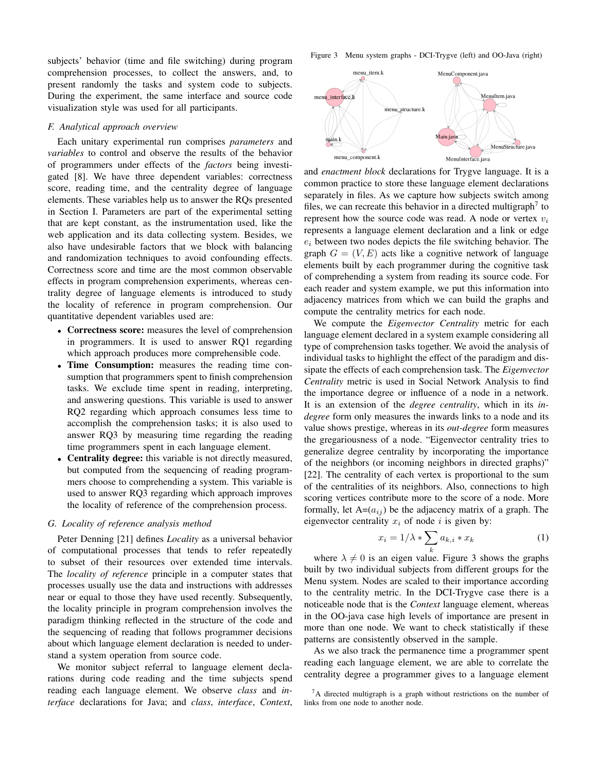subjects' behavior (time and file switching) during program comprehension processes, to collect the answers, and, to present randomly the tasks and system code to subjects. During the experiment, the same interface and source code visualization style was used for all participants.

#### *F. Analytical approach overview*

Each unitary experimental run comprises *parameters* and *variables* to control and observe the results of the behavior of programmers under effects of the *factors* being investigated [8]. We have three dependent variables: correctness score, reading time, and the centrality degree of language elements. These variables help us to answer the RQs presented in Section I. Parameters are part of the experimental setting that are kept constant, as the instrumentation used, like the web application and its data collecting system. Besides, we also have undesirable factors that we block with balancing and randomization techniques to avoid confounding effects. Correctness score and time are the most common observable effects in program comprehension experiments, whereas centrality degree of language elements is introduced to study the locality of reference in program comprehension. Our quantitative dependent variables used are:

- Correctness score: measures the level of comprehension in programmers. It is used to answer RQ1 regarding which approach produces more comprehensible code.
- Time Consumption: measures the reading time consumption that programmers spent to finish comprehension tasks. We exclude time spent in reading, interpreting, and answering questions. This variable is used to answer RQ2 regarding which approach consumes less time to accomplish the comprehension tasks; it is also used to answer RQ3 by measuring time regarding the reading time programmers spent in each language element.
- Centrality degree: this variable is not directly measured, but computed from the sequencing of reading programmers choose to comprehending a system. This variable is used to answer RQ3 regarding which approach improves the locality of reference of the comprehension process.

## *G. Locality of reference analysis method*

Peter Denning [21] defines *Locality* as a universal behavior of computational processes that tends to refer repeatedly to subset of their resources over extended time intervals. The *locality of reference* principle in a computer states that processes usually use the data and instructions with addresses near or equal to those they have used recently. Subsequently, the locality principle in program comprehension involves the paradigm thinking reflected in the structure of the code and the sequencing of reading that follows programmer decisions about which language element declaration is needed to understand a system operation from source code.

We monitor subject referral to language element declarations during code reading and the time subjects spend reading each language element. We observe *class* and *interface* declarations for Java; and *class*, *interface*, *Context*, Figure 3 Menu system graphs - DCI-Trygve (left) and OO-Java (right)



and *enactment block* declarations for Trygve language. It is a common practice to store these language element declarations separately in files. As we capture how subjects switch among files, we can recreate this behavior in a directed multigraph<sup>7</sup> to represent how the source code was read. A node or vertex  $v_i$ represents a language element declaration and a link or edge  $e_i$  between two nodes depicts the file switching behavior. The graph  $G = (V, E)$  acts like a cognitive network of language elements built by each programmer during the cognitive task of comprehending a system from reading its source code. For each reader and system example, we put this information into adjacency matrices from which we can build the graphs and compute the centrality metrics for each node.

We compute the *Eigenvector Centrality* metric for each language element declared in a system example considering all type of comprehension tasks together. We avoid the analysis of individual tasks to highlight the effect of the paradigm and dissipate the effects of each comprehension task. The *Eigenvector Centrality* metric is used in Social Network Analysis to find the importance degree or influence of a node in a network. It is an extension of the *degree centrality*, which in its *indegree* form only measures the inwards links to a node and its value shows prestige, whereas in its *out-degree* form measures the gregariousness of a node. "Eigenvector centrality tries to generalize degree centrality by incorporating the importance of the neighbors (or incoming neighbors in directed graphs)" [22]. The centrality of each vertex is proportional to the sum of the centralities of its neighbors. Also, connections to high scoring vertices contribute more to the score of a node. More formally, let  $A=(a_{ij})$  be the adjacency matrix of a graph. The eigenvector centrality  $x_i$  of node i is given by:

$$
x_i = 1/\lambda * \sum_k a_{k,i} * x_k \tag{1}
$$

where  $\lambda \neq 0$  is an eigen value. Figure 3 shows the graphs built by two individual subjects from different groups for the Menu system. Nodes are scaled to their importance according to the centrality metric. In the DCI-Trygve case there is a noticeable node that is the *Context* language element, whereas in the OO-java case high levels of importance are present in more than one node. We want to check statistically if these patterns are consistently observed in the sample.

As we also track the permanence time a programmer spent reading each language element, we are able to correlate the centrality degree a programmer gives to a language element

 ${}^{7}$ A directed multigraph is a graph without restrictions on the number of links from one node to another node.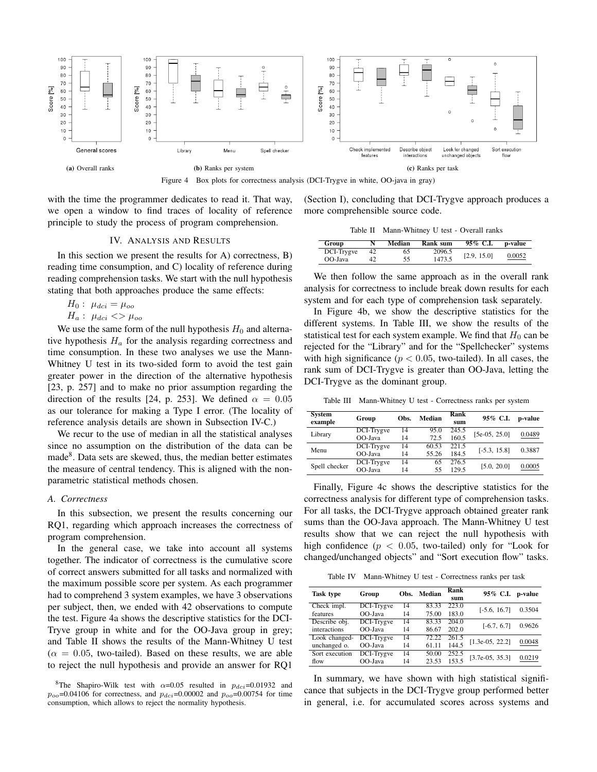

Figure 4 Box plots for correctness analysis (DCI-Trygve in white, OO-java in gray)

with the time the programmer dedicates to read it. That way, we open a window to find traces of locality of reference principle to study the process of program comprehension.

#### IV. ANALYSIS AND RESULTS

In this section we present the results for  $A$ ) correctness,  $B$ ) reading time consumption, and C) locality of reference during reading comprehension tasks. We start with the null hypothesis stating that both approaches produce the same effects:

 $H_0: \mu_{dci} = \mu_{oo}$  $H_a: \mu_{dci} \ll \mu_{oo}$ 

We use the same form of the null hypothesis  $H_0$  and alternative hypothesis  $H_a$  for the analysis regarding correctness and time consumption. In these two analyses we use the Mann-Whitney U test in its two-sided form to avoid the test gain greater power in the direction of the alternative hypothesis [23, p. 257] and to make no prior assumption regarding the direction of the results [24, p. 253]. We defined  $\alpha = 0.05$ as our tolerance for making a Type I error. (The locality of reference analysis details are shown in Subsection IV-C.)

We recur to the use of median in all the statistical analyses since no assumption on the distribution of the data can be made<sup>8</sup>. Data sets are skewed, thus, the median better estimates the measure of central tendency. This is aligned with the nonparametric statistical methods chosen.

## *A. Correctness*

In this subsection, we present the results concerning our RQ1, regarding which approach increases the correctness of program comprehension.

In the general case, we take into account all systems together. The indicator of correctness is the cumulative score of correct answers submitted for all tasks and normalized with the maximum possible score per system. As each programmer had to comprehend 3 system examples, we have 3 observations per subject, then, we ended with 42 observations to compute the test. Figure 4a shows the descriptive statistics for the DCI-Tryve group in white and for the OO-Java group in grey; and Table II shows the results of the Mann-Whitney U test  $(\alpha = 0.05,$  two-tailed). Based on these results, we are able to reject the null hypothesis and provide an answer for RQ1

(Section I), concluding that DCI-Trygve approach produces a more comprehensible source code.

Table II Mann-Whitney U test - Overall ranks

| Group      |    | <b>Median</b> | Rank sum | 95% C.I.    | p-value |
|------------|----|---------------|----------|-------------|---------|
| DCI-Trygve | 42 | 65            | 2096.5   | [2.9, 15.0] | 0.0052  |
| OO-Java    |    | 55            | 1473.5   |             |         |

We then follow the same approach as in the overall rank analysis for correctness to include break down results for each system and for each type of comprehension task separately.

In Figure 4b, we show the descriptive statistics for the different systems. In Table III, we show the results of the statistical test for each system example. We find that  $H_0$  can be rejected for the "Library" and for the "Spellchecker" systems with high significance ( $p < 0.05$ , two-tailed). In all cases, the rank sum of DCI-Trygve is greater than OO-Java, letting the DCI-Trygve as the dominant group.

Table III Mann-Whitney U test - Correctness ranks per system

| <b>System</b> | Group      | Obs. | <b>Median</b> | Rank  | 95% C.I.        | p-value |  |
|---------------|------------|------|---------------|-------|-----------------|---------|--|
| example       |            |      |               | sum   |                 |         |  |
| Library       | DCI-Trygve | 14   | 95.0          | 245.5 |                 |         |  |
|               | OO-Java    | 14   | 72.5          | 160.5 | $[5e-05, 25.0]$ | 0.0489  |  |
| Menu          | DCI-Trygve | 14   | 60.53         | 221.5 | $[-5.3, 15.8]$  | 0.3887  |  |
|               | OO-Java    | 14   | 55.26         | 184.5 |                 |         |  |
|               | DCI-Trygve | 14   | 65            | 276.5 |                 |         |  |
| Spell checker | OO-Java    | 14   | 55            | 129.5 | [5.0, 20.0]     | 0.0005  |  |

Finally, Figure 4c shows the descriptive statistics for the correctness analysis for different type of comprehension tasks. For all tasks, the DCI-Trygve approach obtained greater rank sums than the OO-Java approach. The Mann-Whitney U test results show that we can reject the null hypothesis with high confidence ( $p < 0.05$ , two-tailed) only for "Look for changed/unchanged objects" and "Sort execution flow" tasks.

Table IV Mann-Whitney U test - Correctness ranks per task

| <b>Task type</b> | Group      | Obs. | Median         | Rank<br>sum | 95% C.I. p-value  |        |
|------------------|------------|------|----------------|-------------|-------------------|--------|
| Check impl.      | DCI-Trygve | 14   | 83.33          | 223.0       | $[-5.6, 16.7]$    | 0.3504 |
| features         | OO-Java    | 14   | 75.00<br>183.0 |             |                   |        |
| Describe obj.    | DCI-Trygve | 14   | 83.33          | 204.0       | $[-6.7, 6.7]$     | 0.9626 |
| interactions     | OO-Java    | 14   | 86.67          | 202.0       |                   |        |
| Look changed-    | DCI-Trygve | 14   | 72.22          | 261.5       | $[1.3e-05, 22.2]$ | 0.0048 |
| unchanged o.     | OO-Java    | 14   | 61.11          | 144.5       |                   |        |
| Sort execution   | DCI-Trygve | 14   | 50.00          | 252.5       | $[3.7e-05, 35.3]$ | 0.0219 |
| flow             | OO-Java    | 14   | 23.53          | 153.5       |                   |        |

In summary, we have shown with high statistical significance that subjects in the DCI-Trygve group performed better in general, i.e. for accumulated scores across systems and

<sup>&</sup>lt;sup>8</sup>The Shapiro-Wilk test with  $\alpha$ =0.05 resulted in  $p_{dci}$ =0.01932 and  $p_{oo}$ =0.04106 for correctness, and  $p_{dci}$ =0.00002 and  $p_{oo}$ =0.00754 for time consumption, which allows to reject the normality hypothesis.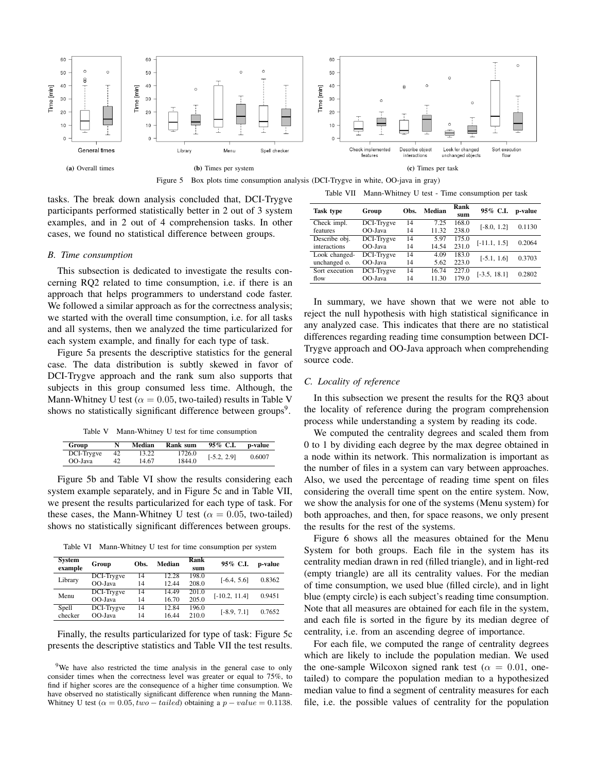

Figure 5 Box plots time consumption analysis (DCI-Trygve in white, OO-java in gray)

tasks. The break down analysis concluded that, DCI-Trygve participants performed statistically better in 2 out of 3 system examples, and in 2 out of 4 comprehension tasks. In other cases, we found no statistical difference between groups.

## *B. Time consumption*

This subsection is dedicated to investigate the results concerning RQ2 related to time consumption, i.e. if there is an approach that helps programmers to understand code faster. We followed a similar approach as for the correctness analysis; we started with the overall time consumption, i.e. for all tasks and all systems, then we analyzed the time particularized for each system example, and finally for each type of task.

Figure 5a presents the descriptive statistics for the general case. The data distribution is subtly skewed in favor of DCI-Trygve approach and the rank sum also supports that subjects in this group consumed less time. Although, the Mann-Whitney U test ( $\alpha = 0.05$ , two-tailed) results in Table V shows no statistically significant difference between groups<sup>9</sup>.

Table V Mann-Whitney U test for time consumption

| Group      |    | Median | Rank sum | 95% C.I.      | p-value |
|------------|----|--------|----------|---------------|---------|
| DCI-Trygve | 42 | 13.22  | 1726.0   | $[-5.2, 2.9]$ | 0.6007  |
| OO-Java    | 42 | 14.67  | 1844.0   |               |         |

Figure 5b and Table VI show the results considering each system example separately, and in Figure 5c and in Table VII, we present the results particularized for each type of task. For these cases, the Mann-Whitney U test ( $\alpha = 0.05$ , two-tailed) shows no statistically significant differences between groups.

Table VI Mann-Whitney U test for time consumption per system

| <b>System</b><br>example | Group      | Obs. | <b>Median</b> | Rank<br>sum | 95% C.I.        | p-value |  |
|--------------------------|------------|------|---------------|-------------|-----------------|---------|--|
|                          | DCI-Trygve | 14   | 12.28         | 198.0       | $[-6.4, 5.6]$   | 0.8362  |  |
| Library                  | OO-Java    | 14   | 12.44         | 208.0       |                 |         |  |
| Menu                     | DCI-Trygve | 14   | 14.49         | 201.0       | $[-10.2, 11.4]$ | 0.9451  |  |
|                          | OO-Java    | 14   | 16.70         | 205.0       |                 |         |  |
| Spell                    | DCI-Trygve | 14   | 12.84         | 196.0       | $[-8.9, 7.1]$   | 0.7652  |  |
| checker                  | OO-Java    | 14   | 16.44         | 210.0       |                 |         |  |

Finally, the results particularized for type of task: Figure 5c presents the descriptive statistics and Table VII the test results.

<sup>9</sup>We have also restricted the time analysis in the general case to only consider times when the correctness level was greater or equal to 75%, to find if higher scores are the consequence of a higher time consumption. We have observed no statistically significant difference when running the Mann-Whitney U test ( $\alpha = 0.05, two-tailed$ ) obtaining a  $p-value = 0.1138$ .

| <b>Task type</b> | Group      | Obs. | <b>Median</b> | Rank<br>sum | 95% C.I.       | p-value |
|------------------|------------|------|---------------|-------------|----------------|---------|
| Check impl.      | DCI-Trygve | 14   | 7.25          | 168.0       | $[-8.0, 1.2]$  | 0.1130  |
| features         | OO-Java    | 14   | 11.32         | 238.0       |                |         |
| Describe obj.    | DCI-Trygve | 14   | 5.97          | 175.0       | $[-11.1, 1.5]$ | 0.2064  |
| interactions     | OO-Java    | 14   | 14.54         | 231.0       |                |         |
| Look changed-    | DCI-Trygve | 14   | 4.09          | 183.0       | $[-5.1, 1.6]$  | 0.3703  |
| unchanged o.     | OO-Java    | 14   | 5.62          | 223.0       |                |         |
| Sort execution   | DCI-Trygve | 14   | 16.74         | 227.0       | $[-3.5, 18.1]$ | 0.2802  |
| flow             | OO-Java    | 14   | 11.30         | 179.0       |                |         |

Table VII Mann-Whitney U test - Time consumption per task

In summary, we have shown that we were not able to reject the null hypothesis with high statistical significance in any analyzed case. This indicates that there are no statistical differences regarding reading time consumption between DCI-Trygve approach and OO-Java approach when comprehending source code.

## *C. Locality of reference*

In this subsection we present the results for the RQ3 about the locality of reference during the program comprehension process while understanding a system by reading its code.

We computed the centrality degrees and scaled them from 0 to 1 by dividing each degree by the max degree obtained in a node within its network. This normalization is important as the number of files in a system can vary between approaches. Also, we used the percentage of reading time spent on files considering the overall time spent on the entire system. Now, we show the analysis for one of the systems (Menu system) for both approaches, and then, for space reasons, we only present the results for the rest of the systems.

Figure 6 shows all the measures obtained for the Menu System for both groups. Each file in the system has its centrality median drawn in red (filled triangle), and in light-red (empty triangle) are all its centrality values. For the median of time consumption, we used blue (filled circle), and in light blue (empty circle) is each subject's reading time consumption. Note that all measures are obtained for each file in the system, and each file is sorted in the figure by its median degree of centrality, i.e. from an ascending degree of importance.

For each file, we computed the range of centrality degrees which are likely to include the population median. We used the one-sample Wilcoxon signed rank test ( $\alpha = 0.01$ , onetailed) to compare the population median to a hypothesized median value to find a segment of centrality measures for each file, i.e. the possible values of centrality for the population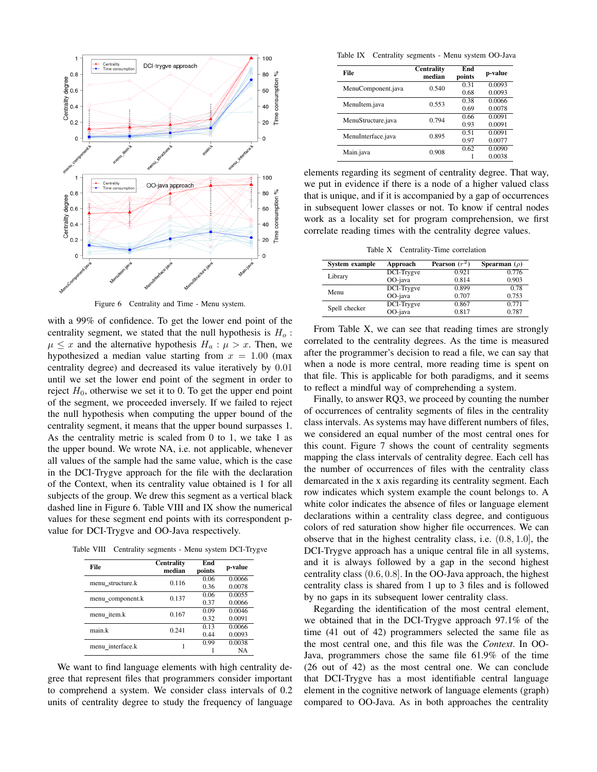

Figure 6 Centrality and Time - Menu system.

with a 99% of confidence. To get the lower end point of the centrality segment, we stated that the null hypothesis is  $H<sub>o</sub>$ :  $\mu \leq x$  and the alternative hypothesis  $H_a: \mu > x$ . Then, we hypothesized a median value starting from  $x = 1.00$  (max centrality degree) and decreased its value iteratively by 0.01 until we set the lower end point of the segment in order to reject  $H_0$ , otherwise we set it to 0. To get the upper end point of the segment, we proceeded inversely. If we failed to reject the null hypothesis when computing the upper bound of the centrality segment, it means that the upper bound surpasses 1. As the centrality metric is scaled from 0 to 1, we take 1 as the upper bound. We wrote NA, i.e. not applicable, whenever all values of the sample had the same value, which is the case in the DCI-Trygve approach for the file with the declaration of the Context, when its centrality value obtained is 1 for all subjects of the group. We drew this segment as a vertical black dashed line in Figure 6. Table VIII and IX show the numerical values for these segment end points with its correspondent pvalue for DCI-Trygve and OO-Java respectively.

Table VIII Centrality segments - Menu system DCI-Trygve

| File             | <b>Centrality</b><br>median | End<br>points | p-value |
|------------------|-----------------------------|---------------|---------|
| menu structure.k | 0.116                       | 0.06          | 0.0066  |
|                  |                             | 0.36          | 0.0078  |
|                  | 0.137                       | 0.06          | 0.0055  |
| menu_component.k |                             | 0.37          | 0.0066  |
| menu_item.k      | 0.167                       | 0.09          | 0.0046  |
|                  |                             | 0.32          | 0.0091  |
| main k           | 0.241                       | 0.13          | 0.0066  |
|                  |                             | 0.44          | 0.0093  |
| menu interface.k |                             | 0.99          | 0.0038  |
|                  |                             |               | NΑ      |

We want to find language elements with high centrality degree that represent files that programmers consider important to comprehend a system. We consider class intervals of 0.2 units of centrality degree to study the frequency of language

Table IX Centrality segments - Menu system OO-Java

| File               | <b>Centrality</b><br>median | End<br>points | p-value          |
|--------------------|-----------------------------|---------------|------------------|
| MenuComponent.java | 0.540                       | 0.31<br>0.68  | 0.0093<br>0.0093 |
| MenuItem.java      | 0.553                       | 0.38<br>0.69  | 0.0066<br>0.0078 |
| MenuStructure.java | 0.794                       | 0.66<br>0.93  | 0.0091<br>0.0091 |
| MenuInterface.java | 0.895                       | 0.51<br>0.97  | 0.0091<br>0.0077 |
| Main.java          | 0.908                       | 0.62          | 0.0090<br>0.0038 |

elements regarding its segment of centrality degree. That way, we put in evidence if there is a node of a higher valued class that is unique, and if it is accompanied by a gap of occurrences in subsequent lower classes or not. To know if central nodes work as a locality set for program comprehension, we first correlate reading times with the centrality degree values.

Table X Centrality-Time correlation

| System example | Approach   | <b>Pearson</b> $(r^2)$ | Spearman $(\rho)$ |
|----------------|------------|------------------------|-------------------|
| Library        | DCI-Trygve | 0.921                  | 0.776             |
|                | OO-java    | 0.814                  | 0.903             |
| Menu           | DCI-Trygve | 0.899                  | 0.78              |
|                | OO-java    | 0.707                  | 0.753             |
| Spell checker  | DCI-Trygve | 0.867                  | 0.771             |
|                | OO-java    | 0.817                  | 0.787             |

From Table X, we can see that reading times are strongly correlated to the centrality degrees. As the time is measured after the programmer's decision to read a file, we can say that when a node is more central, more reading time is spent on that file. This is applicable for both paradigms, and it seems to reflect a mindful way of comprehending a system.

Finally, to answer RQ3, we proceed by counting the number of occurrences of centrality segments of files in the centrality class intervals. As systems may have different numbers of files, we considered an equal number of the most central ones for this count. Figure 7 shows the count of centrality segments mapping the class intervals of centrality degree. Each cell has the number of occurrences of files with the centrality class demarcated in the x axis regarding its centrality segment. Each row indicates which system example the count belongs to. A white color indicates the absence of files or language element declarations within a centrality class degree, and contiguous colors of red saturation show higher file occurrences. We can observe that in the highest centrality class, i.e. (0.8, 1.0], the DCI-Trygve approach has a unique central file in all systems, and it is always followed by a gap in the second highest centrality class (0.6, 0.8]. In the OO-Java approach, the highest centrality class is shared from 1 up to 3 files and is followed by no gaps in its subsequent lower centrality class.

Regarding the identification of the most central element, we obtained that in the DCI-Trygve approach 97.1% of the time (41 out of 42) programmers selected the same file as the most central one, and this file was the *Context*. In OO-Java, programmers chose the same file 61.9% of the time (26 out of 42) as the most central one. We can conclude that DCI-Trygve has a most identifiable central language element in the cognitive network of language elements (graph) compared to OO-Java. As in both approaches the centrality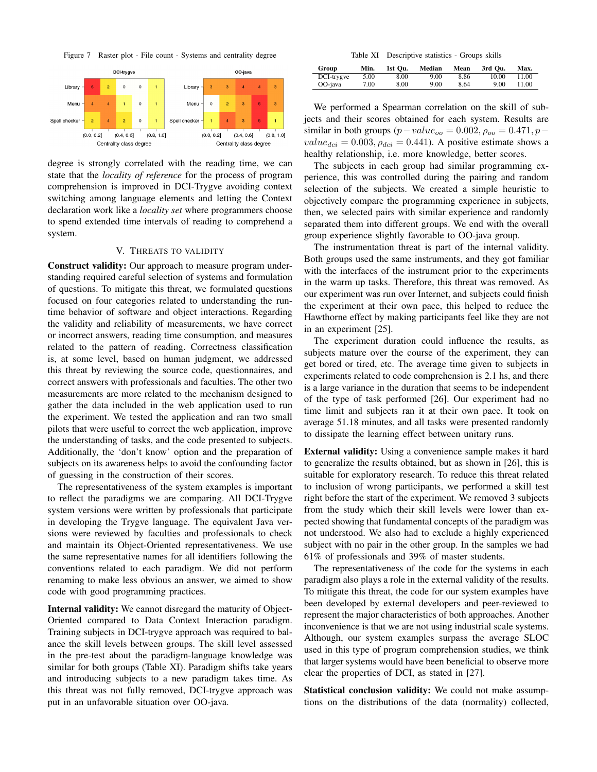Figure 7 Raster plot - File count - Systems and centrality degree



degree is strongly correlated with the reading time, we can state that the *locality of reference* for the process of program comprehension is improved in DCI-Trygve avoiding context switching among language elements and letting the Context declaration work like a *locality set* where programmers choose to spend extended time intervals of reading to comprehend a system.

#### V. THREATS TO VALIDITY

Construct validity: Our approach to measure program understanding required careful selection of systems and formulation of questions. To mitigate this threat, we formulated questions focused on four categories related to understanding the runtime behavior of software and object interactions. Regarding the validity and reliability of measurements, we have correct or incorrect answers, reading time consumption, and measures related to the pattern of reading. Correctness classification is, at some level, based on human judgment, we addressed this threat by reviewing the source code, questionnaires, and correct answers with professionals and faculties. The other two measurements are more related to the mechanism designed to gather the data included in the web application used to run the experiment. We tested the application and ran two small pilots that were useful to correct the web application, improve the understanding of tasks, and the code presented to subjects. Additionally, the 'don't know' option and the preparation of subjects on its awareness helps to avoid the confounding factor of guessing in the construction of their scores.

The representativeness of the system examples is important to reflect the paradigms we are comparing. All DCI-Trygve system versions were written by professionals that participate in developing the Trygve language. The equivalent Java versions were reviewed by faculties and professionals to check and maintain its Object-Oriented representativeness. We use the same representative names for all identifiers following the conventions related to each paradigm. We did not perform renaming to make less obvious an answer, we aimed to show code with good programming practices.

Internal validity: We cannot disregard the maturity of Object-Oriented compared to Data Context Interaction paradigm. Training subjects in DCI-trygve approach was required to balance the skill levels between groups. The skill level assessed in the pre-test about the paradigm-language knowledge was similar for both groups (Table XI). Paradigm shifts take years and introducing subjects to a new paradigm takes time. As this threat was not fully removed, DCI-trygve approach was put in an unfavorable situation over OO-java.

|  | Table XI Descriptive statistics - Groups skills |  |  |  |
|--|-------------------------------------------------|--|--|--|
|--|-------------------------------------------------|--|--|--|

| Group      | Min. | 1st Ou. | Median | Mean | 3rd Ou. | Max.  |
|------------|------|---------|--------|------|---------|-------|
| DCI-trygve | 5.00 | 8.00    | 9.00   | 8.86 | 10.00   | 11.00 |
| OO-java    | 7.00 | 8.00    | 9.00   | 8.64 | 9.00    | 11.00 |

 $\overline{a}$ 

We performed a Spearman correlation on the skill of subjects and their scores obtained for each system. Results are similar in both groups ( $p-value<sub>oo</sub> = 0.002$ ,  $\rho_{oo} = 0.471$ ,  $p$  $value_{dci} = 0.003, \rho_{dci} = 0.441$ . A positive estimate shows a healthy relationship, i.e. more knowledge, better scores.

The subjects in each group had similar programming experience, this was controlled during the pairing and random selection of the subjects. We created a simple heuristic to objectively compare the programming experience in subjects, then, we selected pairs with similar experience and randomly separated them into different groups. We end with the overall group experience slightly favorable to OO-java group.

The instrumentation threat is part of the internal validity. Both groups used the same instruments, and they got familiar with the interfaces of the instrument prior to the experiments in the warm up tasks. Therefore, this threat was removed. As our experiment was run over Internet, and subjects could finish the experiment at their own pace, this helped to reduce the Hawthorne effect by making participants feel like they are not in an experiment [25].

The experiment duration could influence the results, as subjects mature over the course of the experiment, they can get bored or tired, etc. The average time given to subjects in experiments related to code comprehension is 2.1 hs, and there is a large variance in the duration that seems to be independent of the type of task performed [26]. Our experiment had no time limit and subjects ran it at their own pace. It took on average 51.18 minutes, and all tasks were presented randomly to dissipate the learning effect between unitary runs.

External validity: Using a convenience sample makes it hard to generalize the results obtained, but as shown in [26], this is suitable for exploratory research. To reduce this threat related to inclusion of wrong participants, we performed a skill test right before the start of the experiment. We removed 3 subjects from the study which their skill levels were lower than expected showing that fundamental concepts of the paradigm was not understood. We also had to exclude a highly experienced subject with no pair in the other group. In the samples we had 61% of professionals and 39% of master students.

The representativeness of the code for the systems in each paradigm also plays a role in the external validity of the results. To mitigate this threat, the code for our system examples have been developed by external developers and peer-reviewed to represent the major characteristics of both approaches. Another inconvenience is that we are not using industrial scale systems. Although, our system examples surpass the average SLOC used in this type of program comprehension studies, we think that larger systems would have been beneficial to observe more clear the properties of DCI, as stated in [27].

Statistical conclusion validity: We could not make assumptions on the distributions of the data (normality) collected,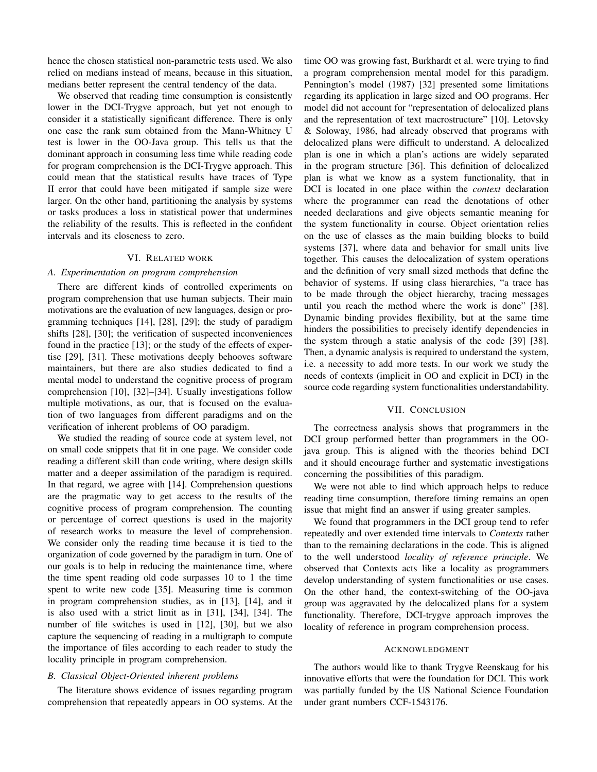hence the chosen statistical non-parametric tests used. We also relied on medians instead of means, because in this situation, medians better represent the central tendency of the data.

We observed that reading time consumption is consistently lower in the DCI-Trygve approach, but yet not enough to consider it a statistically significant difference. There is only one case the rank sum obtained from the Mann-Whitney U test is lower in the OO-Java group. This tells us that the dominant approach in consuming less time while reading code for program comprehension is the DCI-Trygve approach. This could mean that the statistical results have traces of Type II error that could have been mitigated if sample size were larger. On the other hand, partitioning the analysis by systems or tasks produces a loss in statistical power that undermines the reliability of the results. This is reflected in the confident intervals and its closeness to zero.

## VI. RELATED WORK

## *A. Experimentation on program comprehension*

There are different kinds of controlled experiments on program comprehension that use human subjects. Their main motivations are the evaluation of new languages, design or programming techniques [14], [28], [29]; the study of paradigm shifts [28], [30]; the verification of suspected inconveniences found in the practice [13]; or the study of the effects of expertise [29], [31]. These motivations deeply behooves software maintainers, but there are also studies dedicated to find a mental model to understand the cognitive process of program comprehension [10], [32]–[34]. Usually investigations follow multiple motivations, as our, that is focused on the evaluation of two languages from different paradigms and on the verification of inherent problems of OO paradigm.

We studied the reading of source code at system level, not on small code snippets that fit in one page. We consider code reading a different skill than code writing, where design skills matter and a deeper assimilation of the paradigm is required. In that regard, we agree with [14]. Comprehension questions are the pragmatic way to get access to the results of the cognitive process of program comprehension. The counting or percentage of correct questions is used in the majority of research works to measure the level of comprehension. We consider only the reading time because it is tied to the organization of code governed by the paradigm in turn. One of our goals is to help in reducing the maintenance time, where the time spent reading old code surpasses 10 to 1 the time spent to write new code [35]. Measuring time is common in program comprehension studies, as in [13], [14], and it is also used with a strict limit as in [31], [34], [34]. The number of file switches is used in [12], [30], but we also capture the sequencing of reading in a multigraph to compute the importance of files according to each reader to study the locality principle in program comprehension.

#### *B. Classical Object-Oriented inherent problems*

The literature shows evidence of issues regarding program comprehension that repeatedly appears in OO systems. At the time OO was growing fast, Burkhardt et al. were trying to find a program comprehension mental model for this paradigm. Pennington's model (1987) [32] presented some limitations regarding its application in large sized and OO programs. Her model did not account for "representation of delocalized plans and the representation of text macrostructure" [10]. Letovsky & Soloway, 1986, had already observed that programs with delocalized plans were difficult to understand. A delocalized plan is one in which a plan's actions are widely separated in the program structure [36]. This definition of delocalized plan is what we know as a system functionality, that in DCI is located in one place within the *context* declaration where the programmer can read the denotations of other needed declarations and give objects semantic meaning for the system functionality in course. Object orientation relies on the use of classes as the main building blocks to build systems [37], where data and behavior for small units live together. This causes the delocalization of system operations and the definition of very small sized methods that define the behavior of systems. If using class hierarchies, "a trace has to be made through the object hierarchy, tracing messages until you reach the method where the work is done" [38]. Dynamic binding provides flexibility, but at the same time hinders the possibilities to precisely identify dependencies in the system through a static analysis of the code [39] [38]. Then, a dynamic analysis is required to understand the system, i.e. a necessity to add more tests. In our work we study the needs of contexts (implicit in OO and explicit in DCI) in the source code regarding system functionalities understandability.

#### VII. CONCLUSION

The correctness analysis shows that programmers in the DCI group performed better than programmers in the OOjava group. This is aligned with the theories behind DCI and it should encourage further and systematic investigations concerning the possibilities of this paradigm.

We were not able to find which approach helps to reduce reading time consumption, therefore timing remains an open issue that might find an answer if using greater samples.

We found that programmers in the DCI group tend to refer repeatedly and over extended time intervals to *Contexts* rather than to the remaining declarations in the code. This is aligned to the well understood *locality of reference principle*. We observed that Contexts acts like a locality as programmers develop understanding of system functionalities or use cases. On the other hand, the context-switching of the OO-java group was aggravated by the delocalized plans for a system functionality. Therefore, DCI-trygve approach improves the locality of reference in program comprehension process.

## ACKNOWLEDGMENT

The authors would like to thank Trygve Reenskaug for his innovative efforts that were the foundation for DCI. This work was partially funded by the US National Science Foundation under grant numbers CCF-1543176.